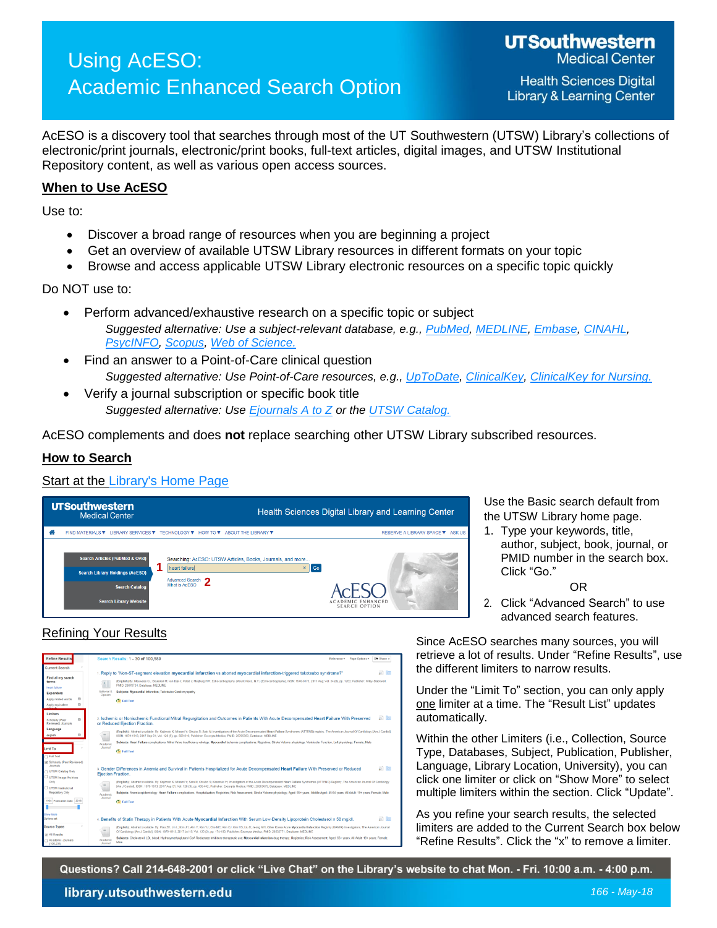# Using AcESO: Academic Enhanced Search Option

**Health Sciences Digital Library & Learning Center** 

AcESO is a discovery tool that searches through most of the UT Southwestern (UTSW) Library's collections of electronic/print journals, electronic/print books, full-text articles, digital images, and UTSW Institutional Repository content, as well as various open access sources.

## **When to Use AcESO**

Use to:

- Discover a broad range of resources when you are beginning a project
- Get an overview of available UTSW Library resources in different formats on your topic
- Browse and access applicable UTSW Library electronic resources on a specific topic quickly

Do NOT use to:

- Perform advanced/exhaustive research on a specific topic or subject *Suggested alternative: Use a subject-relevant database, e.g., [PubMed,](http://library.utsouthwestern.edu/links/linkUsage.cfm?linkID=1471) [MEDLINE,](http://library.utsouthwestern.edu/links/linkUsage.cfm?linkID=1399§ion=AcESO) [Embase,](http://library.utsouthwestern.edu/links/linkUsage.cfm?linkID=7135§ion=AcESO) [CINAHL,](http://library.utsouthwestern.edu/links/linkUsage.cfm?linkID=6985§ion=AcESO) [PsycINFO,](http://library.utsouthwestern.edu/links/linkUsage.cfm?linkID=6721§ion=AcESO) [Scopus,](http://library.utsouthwestern.edu/links/linkUsage.cfm?linkID=3480§ion=AcESO) [Web of Science.](http://library.utsouthwestern.edu/links/linkUsage.cfm?linkID=834§ion=AcESO)*
- Find an answer to a Point-of-Care clinical question *Suggested alternative: Use Point-of-Care resources, e.g., [UpToDate,](http://library.utsouthwestern.edu/links/linkUsage.cfm?linkID=3902§ion=AcESO) [ClinicalKey,](http://library.utsouthwestern.edu/links/linkUsage.cfm?linkID=7047§ion=AcESO) [ClinicalKey for Nursing.](http://library.utsouthwestern.edu/links/linkUsage.cfm?linkID=7089§ion=AcESO)*
- Verify a journal subscription or specific book title *Suggested alternative: Use [Ejournals A to Z](http://library.utsouthwestern.edu/links/linkUsage.cfm?linkID=825§ion=AcESO) or the [UTSW Catalog.](http://library.utsouthwestern.edu/links/linkUsage.cfm?linkID=3220§ion=AcESO)*

AcESO complements and does **not** replace searching other UTSW Library subscribed resources.

## **How to Search**

## Start at the [Library's Home Page](http://library.utsouthwestern.edu/)



Use the Basic search default from the UTSW Library home page.

1. Type your keywords, title, author, subject, book, journal, or PMID number in the search box. Click "Go."

#### OR

2. Click "Advanced Search" to use advanced search features.

# Refining Your Results



Since AcESO searches many sources, you will retrieve a lot of results. Under "Refine Results", use the different limiters to narrow results.

Under the "Limit To" section, you can only apply one limiter at a time. The "Result List" updates automatically.

Within the other Limiters (i.e., Collection, Source Type, Databases, Subject, Publication, Publisher, Language, Library Location, University), you can click one limiter or click on "Show More" to select multiple limiters within the section. Click "Update".

As you refine your search results, the selected limiters are added to the Current Search box below "Refine Results". Click the "x" to remove a limiter.

Questions? Call 214-648-2001 or click "Live Chat" on the Library's website to chat Mon. - Fri. 10:00 a.m. - 4:00 p.m.